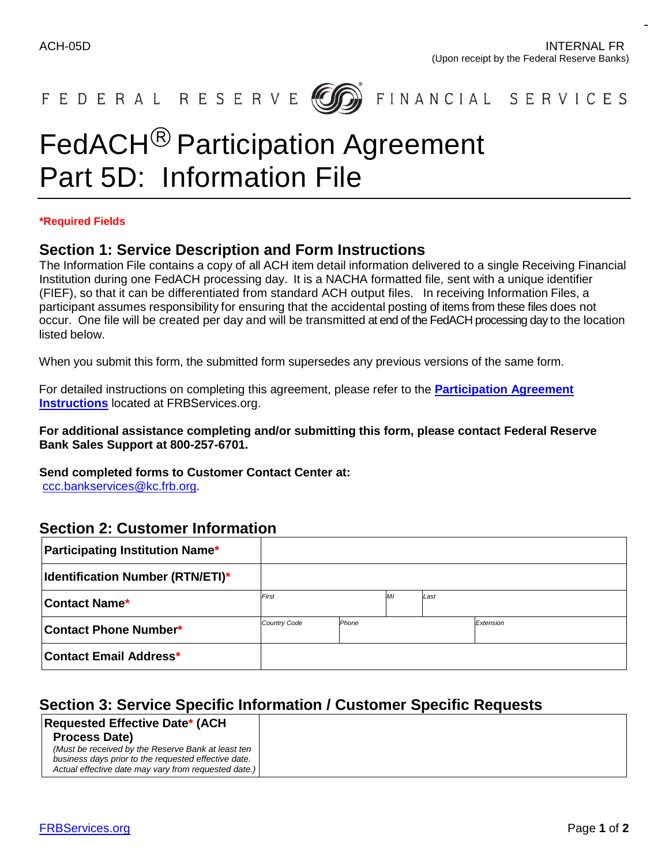$-$ 



# FedACH<sup>®</sup> Participation Agreement Part 5D: Information File

#### **\*Required Fields**

#### **Section 1: Service Description and Form Instructions**

 The Information File contains a copy of all ACH item detail information delivered to a single Receiving Financial Institution during one FedACH processing day. It is a NACHA formatted file, sent with a unique identifier (FIEF), so that it can be differentiated from standard ACH output files. In receiving Information Files, a participant assumes responsibility for ensuring that the accidental posting of items from these files does not occur. One file will be created per day and will be transmitted at end of the FedACH processing day to the location listed below.

When you submit this form, the submitted form supersedes any previous versions of the same form.

 **[Instructions](https://www.frbservices.org/binaries/content/assets/crsocms/forms/ach/agree-instructions-revised.pdf)** located at FRBServices.org. For detailed instructions on completing this agreement, please refer to the **[Participation Agreement](https://www.frbservices.org/binaries/content/assets/crsocms/forms/ach/agree-instructions-revised.pdf)** 

**For additional assistance completing and/or submitting this form, please contact Federal Reserve Bank Sales Support at 800-257-6701.** 

 **Send completed forms to Customer Contact Center at:**  [ccc.bankservices@kc.frb.org.](mailto:ccc.bankservices@kc.frb.org)

### **Section 2: Customer Information**

| <b>Participating Institution Name*</b>  |                     |       |   |           |  |
|-----------------------------------------|---------------------|-------|---|-----------|--|
| <b>Identification Number (RTN/ETI)*</b> |                     |       |   |           |  |
| <b>Contact Name*</b>                    | First               |       | M | Last      |  |
| Contact Phone Number*                   | <b>Country Code</b> | Phone |   | Extension |  |
| Contact Email Address*                  |                     |       |   |           |  |

# **Section 3: Service Specific Information / Customer Specific Requests**

#### *(Must be received by the Reserve Bank at least ten*  **Requested Effective Date\* (ACH Process Date)**

business days prior to the requested effective date.  *business days prior to the requested effective date. Actual effective date may vary from requested date.)*